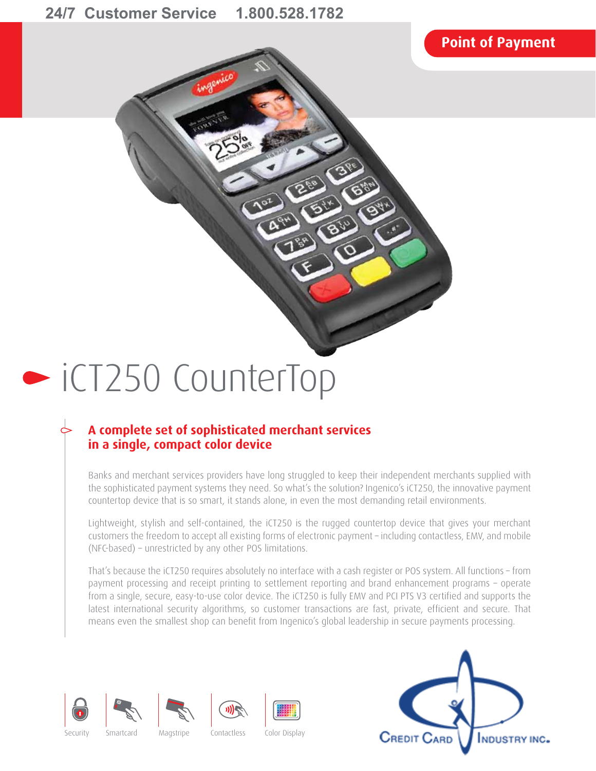# **Point of Payment**



# iCT250 CounterTop

# **A complete set of sophisticated merchant services in a single, compact color device**

Banks and merchant services providers have long struggled to keep their independent merchants supplied with the sophisticated payment systems they need. So what's the solution? Ingenico's iCT250, the innovative payment countertop device that is so smart, it stands alone, in even the most demanding retail environments.

Lightweight, stylish and self-contained, the iCT250 is the rugged countertop device that gives your merchant customers the freedom to accept all existing forms of electronic payment – including contactless, EMV, and mobile (NFC-based) – unrestricted by any other POS limitations.

That's because the iCT250 requires absolutely no interface with a cash register or POS system. All functions – from payment processing and receipt printing to settlement reporting and brand enhancement programs – operate from a single, secure, easy-to-use color device. The iCT250 is fully EMV and PCI PTS V3 certified and supports the latest international security algorithms, so customer transactions are fast, private, efficient and secure. That means even the smallest shop can benefit from Ingenico's global leadership in secure payments processing.











Security Smartcard Magstripe Contactless Color Display

illilli